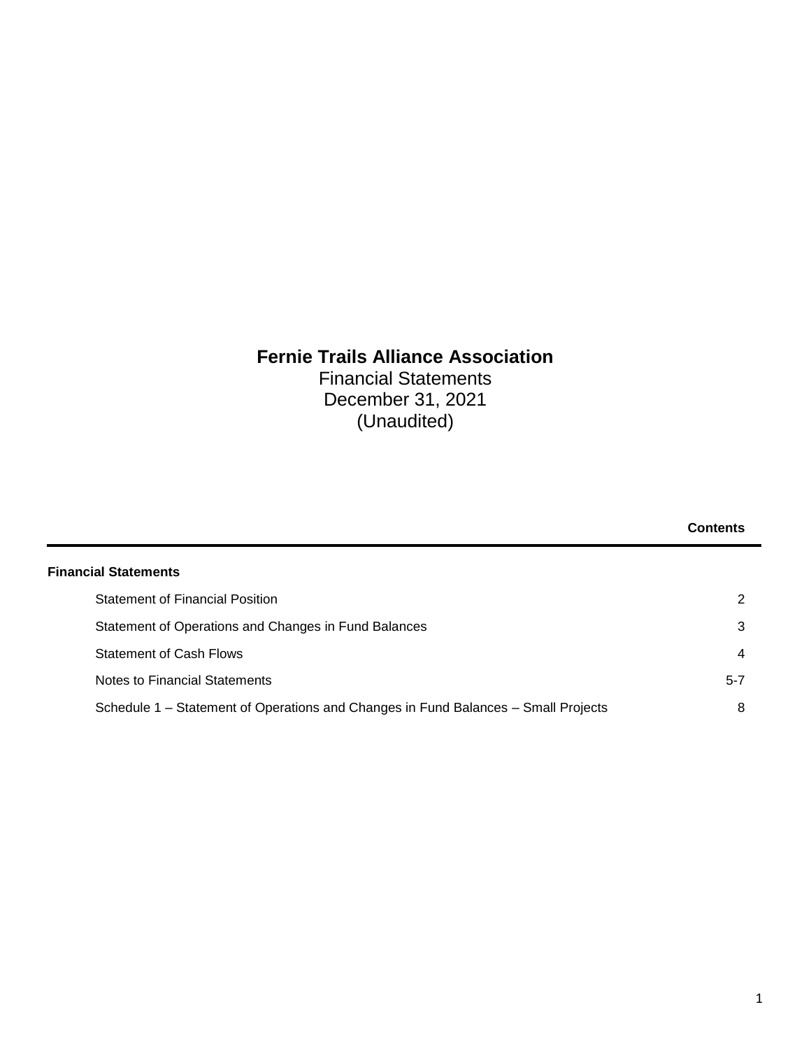## **Fernie Trails Alliance Association** Financial Statements

December 31, 2021 (Unaudited)

|                                                                                    | <b>Contents</b> |
|------------------------------------------------------------------------------------|-----------------|
| <b>Financial Statements</b>                                                        |                 |
| <b>Statement of Financial Position</b>                                             | 2               |
| Statement of Operations and Changes in Fund Balances                               | 3               |
| <b>Statement of Cash Flows</b>                                                     | $\overline{4}$  |
| Notes to Financial Statements                                                      | $5 - 7$         |
| Schedule 1 – Statement of Operations and Changes in Fund Balances – Small Projects | 8               |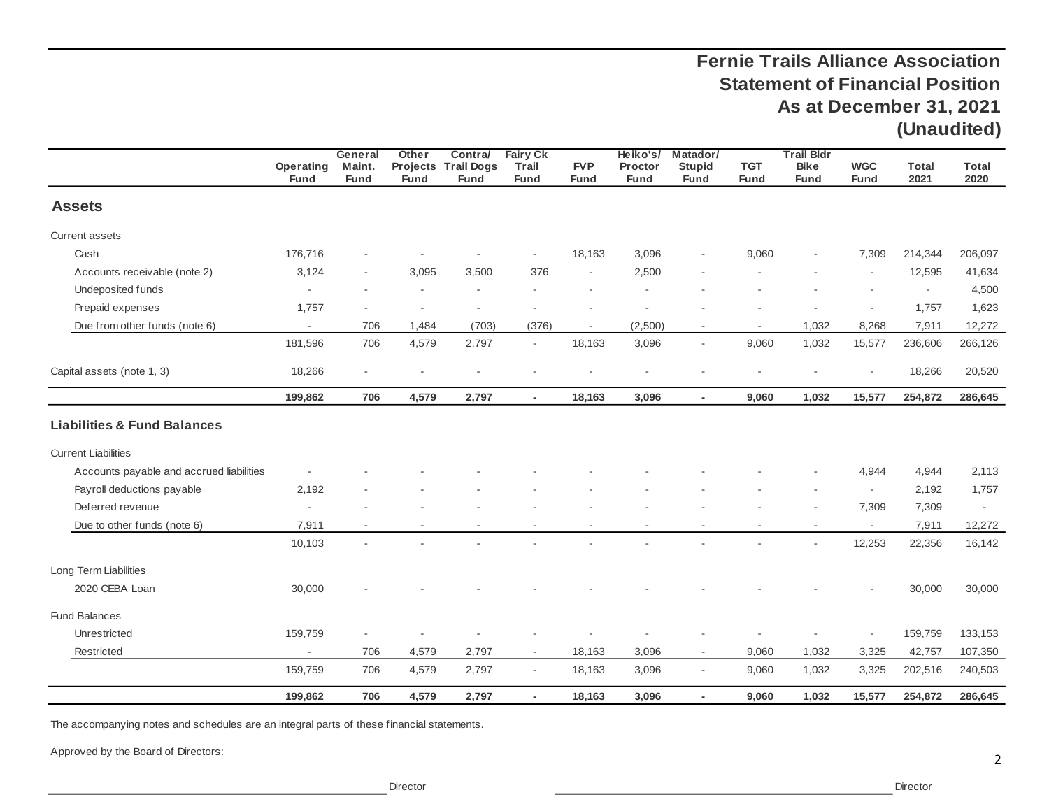## **Fernie Trails Alliance Association Statement of Financial Position As at December 31, 2021 (Unaudited)**

|                                          | Operating<br><b>Fund</b> | General<br>Maint.<br><b>Fund</b> | Other<br><b>Fund</b> | Contra/<br>Projects Trail Dogs<br><b>Fund</b> | <b>Fairy Ck</b><br>Trail<br><b>Fund</b> | <b>FVP</b><br><b>Fund</b> | Heiko's/<br>Proctor<br><b>Fund</b> | Matador/<br><b>Stupid</b><br><b>Fund</b> | <b>TGT</b><br><b>Fund</b> | <b>Trail Bldr</b><br><b>Bike</b><br><b>Fund</b> | <b>WGC</b><br><b>Fund</b> | <b>Total</b><br>2021 | <b>Total</b><br>2020 |
|------------------------------------------|--------------------------|----------------------------------|----------------------|-----------------------------------------------|-----------------------------------------|---------------------------|------------------------------------|------------------------------------------|---------------------------|-------------------------------------------------|---------------------------|----------------------|----------------------|
| <b>Assets</b>                            |                          |                                  |                      |                                               |                                         |                           |                                    |                                          |                           |                                                 |                           |                      |                      |
| <b>Current assets</b>                    |                          |                                  |                      |                                               |                                         |                           |                                    |                                          |                           |                                                 |                           |                      |                      |
| Cash                                     | 176,716                  |                                  |                      |                                               | $\overline{\phantom{a}}$                | 18,163                    | 3,096                              |                                          | 9,060                     | $\overline{a}$                                  | 7,309                     | 214,344              | 206,097              |
| Accounts receivable (note 2)             | 3,124                    |                                  | 3,095                | 3,500                                         | 376                                     |                           | 2,500                              |                                          |                           |                                                 | $\sim$                    | 12,595               | 41,634               |
| Undeposited funds                        |                          |                                  |                      |                                               |                                         |                           |                                    |                                          |                           |                                                 |                           | $\blacksquare$       | 4,500                |
| Prepaid expenses                         | 1,757                    |                                  |                      |                                               |                                         |                           |                                    |                                          |                           |                                                 |                           | 1,757                | 1,623                |
| Due from other funds (note 6)            | $\sim$                   | 706                              | 1,484                | (703)                                         | (376)                                   | $\overline{\phantom{a}}$  | (2,500)                            | $\overline{\phantom{a}}$                 | $\sim$                    | 1,032                                           | 8,268                     | 7,911                | 12,272               |
|                                          | 181,596                  | 706                              | 4,579                | 2,797                                         | $\overline{\phantom{a}}$                | 18,163                    | 3,096                              | $\bar{a}$                                | 9,060                     | 1,032                                           | 15,577                    | 236,606              | 266,126              |
| Capital assets (note 1, 3)               | 18,266                   |                                  |                      |                                               |                                         |                           |                                    |                                          |                           |                                                 | $\sim$                    | 18,266               | 20,520               |
|                                          | 199,862                  | 706                              | 4,579                | 2,797                                         | $\sim$                                  | 18,163                    | 3,096                              | $\overline{a}$                           | 9,060                     | 1,032                                           | 15,577                    | 254,872              | 286,645              |
| <b>Liabilities &amp; Fund Balances</b>   |                          |                                  |                      |                                               |                                         |                           |                                    |                                          |                           |                                                 |                           |                      |                      |
| <b>Current Liabilities</b>               |                          |                                  |                      |                                               |                                         |                           |                                    |                                          |                           |                                                 |                           |                      |                      |
| Accounts payable and accrued liabilities |                          |                                  |                      |                                               |                                         |                           |                                    |                                          |                           |                                                 | 4,944                     | 4,944                | 2,113                |
| Payroll deductions payable               | 2,192                    |                                  |                      |                                               |                                         |                           |                                    |                                          |                           |                                                 |                           | 2,192                | 1,757                |
| Deferred revenue                         | $\overline{\phantom{a}}$ |                                  |                      |                                               |                                         |                           |                                    |                                          |                           | $\overline{a}$                                  | 7,309                     | 7,309                | $\sim$               |
| Due to other funds (note 6)              | 7,911                    |                                  |                      |                                               |                                         |                           |                                    |                                          |                           | $\blacksquare$                                  | $\sim$                    | 7,911                | 12,272               |
|                                          | 10,103                   |                                  |                      |                                               |                                         |                           |                                    |                                          |                           | $\overline{\phantom{a}}$                        | 12,253                    | 22,356               | 16,142               |
| Long Term Liabilities                    |                          |                                  |                      |                                               |                                         |                           |                                    |                                          |                           |                                                 |                           |                      |                      |
| 2020 CEBA Loan                           | 30,000                   |                                  |                      |                                               |                                         |                           |                                    |                                          |                           |                                                 |                           | 30,000               | 30,000               |
| <b>Fund Balances</b>                     |                          |                                  |                      |                                               |                                         |                           |                                    |                                          |                           |                                                 |                           |                      |                      |
| Unrestricted                             | 159,759                  | ٠                                |                      |                                               |                                         |                           |                                    |                                          |                           |                                                 | $\overline{\phantom{a}}$  | 159,759              | 133,153              |
| Restricted                               | $\mathcal{L}$            | 706                              | 4,579                | 2,797                                         | $\sim$                                  | 18,163                    | 3,096                              | $\overline{\phantom{a}}$                 | 9,060                     | 1,032                                           | 3,325                     | 42,757               | 107,350              |
|                                          | 159,759                  | 706                              | 4,579                | 2,797                                         | $\overline{\phantom{a}}$                | 18,163                    | 3,096                              | $\sim$                                   | 9,060                     | 1,032                                           | 3,325                     | 202,516              | 240,503              |
|                                          | 199,862                  | 706                              | 4,579                | 2,797                                         | $\overline{\phantom{a}}$                | 18,163                    | 3,096                              | $\overline{\phantom{a}}$                 | 9,060                     | 1,032                                           | 15,577                    | 254,872              | 286,645              |

The accompanying notes and schedules are an integral parts of these financial statements.

Approved by the Board of Directors: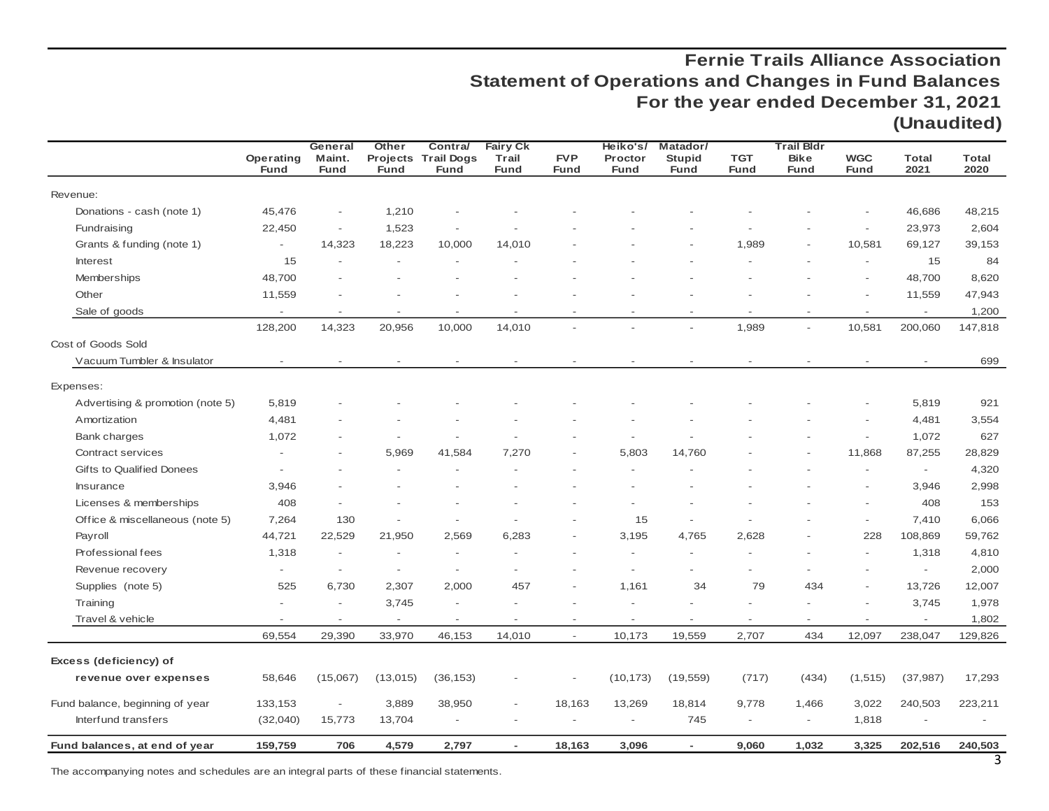## **Fernie Trails Alliance Association Statement of Operations and Changes in Fund Balances For the year ended December 31, 2021 (Unaudited)**

|                                              |                                    | General                  | Other                    | Contra/                                   | <b>Fairy Ck</b>          |                           | Heiko's/                 | Matador/                     |                          | <b>Trail Bldr</b>          |                           |                                     |                      |
|----------------------------------------------|------------------------------------|--------------------------|--------------------------|-------------------------------------------|--------------------------|---------------------------|--------------------------|------------------------------|--------------------------|----------------------------|---------------------------|-------------------------------------|----------------------|
|                                              | Operating<br><b>Fund</b>           | Maint.<br><b>Fund</b>    | <b>Fund</b>              | <b>Projects Trail Dogs</b><br><b>Fund</b> | Trail<br><b>Fund</b>     | <b>FVP</b><br><b>Fund</b> | Proctor<br><b>Fund</b>   | <b>Stupid</b><br><b>Fund</b> | TGT<br><b>Fund</b>       | <b>Bike</b><br><b>Fund</b> | <b>WGC</b><br><b>Fund</b> | <b>Total</b><br>2021                | <b>Total</b><br>2020 |
| Revenue:                                     |                                    |                          |                          |                                           |                          |                           |                          |                              |                          |                            |                           |                                     |                      |
| Donations - cash (note 1)                    | 45,476                             | $\overline{\phantom{a}}$ | 1,210                    |                                           |                          |                           |                          |                              |                          |                            |                           | 46,686                              | 48,215               |
| Fundraising                                  | 22,450                             | $\overline{\phantom{a}}$ | 1,523                    |                                           |                          |                           |                          |                              |                          |                            | $\overline{\phantom{a}}$  | 23,973                              | 2,604                |
|                                              | $\overline{\phantom{a}}$           |                          |                          |                                           | 14,010                   |                           |                          |                              | 1,989                    |                            |                           |                                     |                      |
| Grants & funding (note 1)<br><b>Interest</b> | 15                                 | 14,323                   | 18,223                   | 10,000                                    |                          |                           |                          |                              |                          |                            | 10,581                    | 69,127<br>15                        | 39,153<br>84         |
| Memberships                                  | 48,700                             |                          |                          |                                           |                          |                           |                          |                              |                          |                            |                           | 48,700                              | 8,620                |
| Other                                        |                                    |                          |                          |                                           |                          |                           |                          |                              |                          |                            |                           |                                     | 47,943               |
|                                              | 11,559<br>$\overline{\phantom{a}}$ |                          |                          |                                           |                          |                           |                          |                              |                          |                            | $\overline{\phantom{a}}$  | 11,559                              |                      |
| Sale of goods                                | 128,200                            | 14,323                   | 20,956                   | 10,000                                    | 14,010                   |                           |                          |                              | 1,989                    |                            | 10,581                    | $\overline{\phantom{a}}$<br>200,060 | 1,200<br>147,818     |
| Cost of Goods Sold                           |                                    |                          |                          |                                           |                          |                           |                          |                              |                          |                            |                           |                                     |                      |
| Vacuum Tumbler & Insulator                   |                                    |                          |                          |                                           | $\overline{\phantom{a}}$ |                           |                          |                              |                          |                            |                           |                                     | 699                  |
|                                              |                                    |                          |                          |                                           |                          |                           |                          |                              |                          |                            |                           |                                     |                      |
| Expenses:                                    |                                    |                          |                          |                                           |                          |                           |                          |                              |                          |                            |                           |                                     |                      |
| Advertising & promotion (note 5)             | 5,819                              |                          |                          |                                           |                          |                           |                          |                              |                          |                            |                           | 5,819                               | 921                  |
| Amortization                                 | 4,481                              |                          |                          |                                           |                          |                           |                          |                              |                          |                            |                           | 4,481                               | 3,554                |
| <b>Bank charges</b>                          | 1,072                              |                          |                          |                                           |                          |                           |                          |                              |                          |                            |                           | 1,072                               | 627                  |
| Contract services                            |                                    |                          | 5,969                    | 41,584                                    | 7,270                    |                           | 5,803                    | 14,760                       |                          |                            | 11,868                    | 87,255                              | 28,829               |
| Gifts to Qualified Donees                    |                                    |                          |                          |                                           |                          |                           |                          |                              |                          |                            |                           | $\overline{\phantom{a}}$            | 4,320                |
| Insurance                                    | 3,946                              |                          |                          |                                           |                          |                           |                          |                              |                          |                            |                           | 3,946                               | 2,998                |
| Licenses & memberships                       | 408                                |                          |                          |                                           |                          |                           |                          |                              |                          |                            |                           | 408                                 | 153                  |
| Office & miscellaneous (note 5)              | 7,264                              | 130                      |                          |                                           |                          |                           | 15                       |                              |                          |                            |                           | 7,410                               | 6,066                |
| Payroll                                      | 44,721                             | 22,529                   | 21,950                   | 2,569                                     | 6,283                    |                           | 3,195                    | 4,765                        | 2,628                    |                            | 228                       | 108,869                             | 59,762               |
| Professional fees                            | 1,318                              | $\overline{a}$           |                          |                                           |                          |                           |                          |                              |                          |                            |                           | 1,318                               | 4,810                |
| Revenue recovery                             | $\overline{\phantom{a}}$           | $\overline{\phantom{a}}$ | $\overline{\phantom{a}}$ |                                           |                          |                           |                          |                              |                          |                            |                           | $\overline{\phantom{a}}$            | 2,000                |
| Supplies (note 5)                            | 525                                | 6,730                    | 2,307                    | 2,000                                     | 457                      |                           | 1,161                    | 34                           | 79                       | 434                        |                           | 13,726                              | 12,007               |
| Training                                     | $\overline{\phantom{a}}$           | $\overline{a}$           | 3,745                    |                                           |                          |                           |                          |                              |                          |                            |                           | 3,745                               | 1,978                |
| Travel & vehicle                             | $\overline{\phantom{a}}$           | $\overline{\phantom{a}}$ | $\overline{\phantom{a}}$ | $\overline{\phantom{a}}$                  | $\overline{\phantom{a}}$ | $\overline{\phantom{a}}$  | $\overline{\phantom{a}}$ | $\overline{\phantom{a}}$     | $\overline{\phantom{a}}$ | $\overline{\phantom{a}}$   | $\overline{\phantom{a}}$  | $\overline{\phantom{a}}$            | 1,802                |
|                                              | 69,554                             | 29,390                   | 33,970                   | 46,153                                    | 14,010                   | $\overline{\phantom{a}}$  | 10,173                   | 19,559                       | 2,707                    | 434                        | 12,097                    | 238,047                             | 129,826              |
| Excess (deficiency) of                       |                                    |                          |                          |                                           |                          |                           |                          |                              |                          |                            |                           |                                     |                      |
| revenue over expenses                        | 58,646                             | (15,067)                 | (13, 015)                | (36, 153)                                 |                          |                           | (10, 173)                | (19, 559)                    | (717)                    | (434)                      | (1, 515)                  | (37, 987)                           | 17,293               |
| Fund balance, beginning of year              | 133,153                            | $\overline{\phantom{a}}$ | 3,889                    | 38,950                                    | $\overline{\phantom{a}}$ | 18,163                    | 13,269                   | 18,814                       | 9,778                    | 1,466                      | 3,022                     | 240,503                             | 223,211              |
| Interfund transfers                          | (32,040)                           | 15,773                   | 13,704                   | $\overline{\phantom{a}}$                  |                          | $\overline{a}$            | $\overline{\phantom{a}}$ | 745                          | $\overline{\phantom{a}}$ | $\overline{\phantom{a}}$   | 1,818                     | $\overline{\phantom{a}}$            |                      |
| Fund balances, at end of year                | 159,759                            | 706                      | 4,579                    | 2,797                                     | $\sim$                   | 18,163                    | 3,096                    | $\sim$                       | 9,060                    | 1,032                      | 3,325                     | 202,516                             | 240,503              |

The accompanying notes and schedules are an integral parts of these financial statements.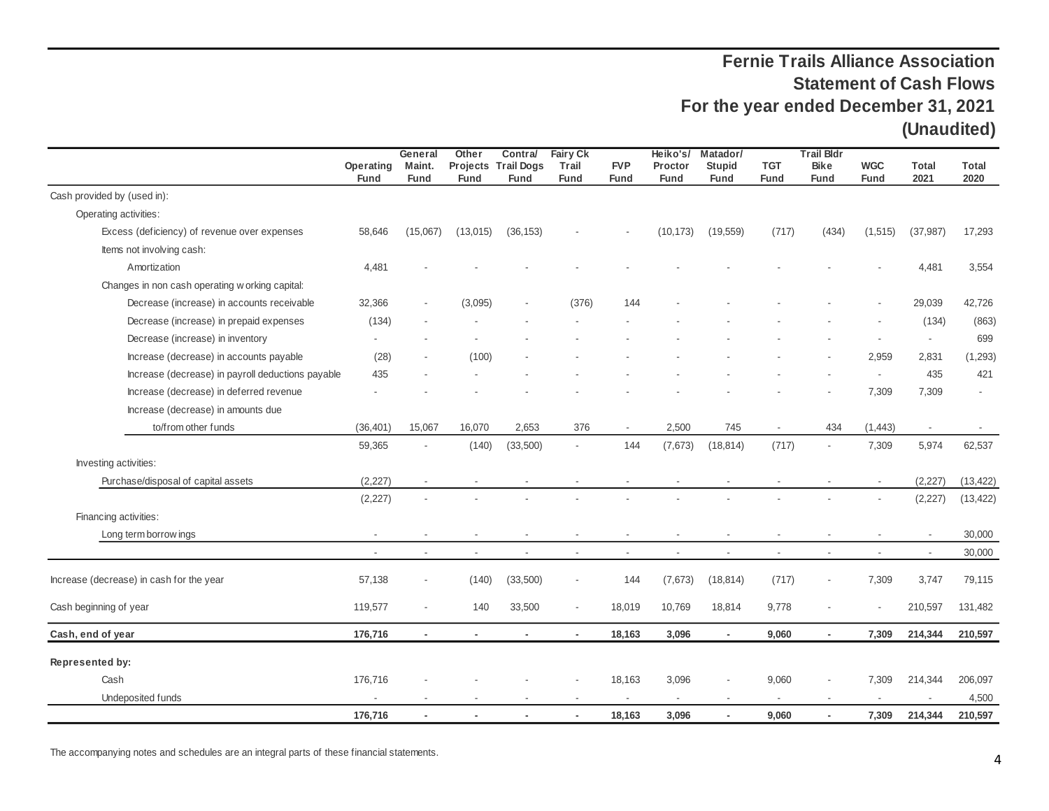## **Fernie Trails Alliance Association Statement of Cash Flows For the year ended December 31, 2021 (Unaudited)**

|                                                   |                          | General                  | Other                    | Contra/                          | <b>Fairy Ck</b>          |                           | Heiko's/                 | Matador/                     |                           | <b>Trail Bldr</b>          |                           |                      |               |
|---------------------------------------------------|--------------------------|--------------------------|--------------------------|----------------------------------|--------------------------|---------------------------|--------------------------|------------------------------|---------------------------|----------------------------|---------------------------|----------------------|---------------|
|                                                   | Operating<br><b>Fund</b> | Maint.<br><b>Fund</b>    | Projects<br><b>Fund</b>  | <b>Trail Dogs</b><br><b>Fund</b> | Trail<br><b>Fund</b>     | <b>FVP</b><br><b>Fund</b> | Proctor<br><b>Fund</b>   | <b>Stupid</b><br><b>Fund</b> | <b>TGT</b><br><b>Fund</b> | <b>Bike</b><br><b>Fund</b> | <b>WGC</b><br><b>Fund</b> | <b>Total</b><br>2021 | Total<br>2020 |
| Cash provided by (used in):                       |                          |                          |                          |                                  |                          |                           |                          |                              |                           |                            |                           |                      |               |
| Operating activities:                             |                          |                          |                          |                                  |                          |                           |                          |                              |                           |                            |                           |                      |               |
| Excess (deficiency) of revenue over expenses      | 58,646                   | (15,067)                 | (13,015)                 | (36, 153)                        |                          |                           | (10, 173)                | (19, 559)                    | (717)                     | (434)                      | (1,515)                   | (37, 987)            | 17,293        |
| Items not involving cash:                         |                          |                          |                          |                                  |                          |                           |                          |                              |                           |                            |                           |                      |               |
| Amortization                                      | 4,481                    |                          |                          |                                  |                          |                           |                          |                              |                           |                            |                           | 4,481                | 3,554         |
| Changes in non cash operating w orking capital:   |                          |                          |                          |                                  |                          |                           |                          |                              |                           |                            |                           |                      |               |
| Decrease (increase) in accounts receivable        | 32,366                   |                          | (3,095)                  |                                  | (376)                    | 144                       |                          |                              |                           |                            |                           | 29,039               | 42,726        |
| Decrease (increase) in prepaid expenses           | (134)                    |                          |                          |                                  |                          |                           |                          |                              |                           |                            |                           | (134)                | (863)         |
| Decrease (increase) in inventory                  |                          |                          |                          |                                  |                          |                           |                          |                              |                           |                            |                           | $\sim$               | 699           |
| Increase (decrease) in accounts payable           | (28)                     |                          | (100)                    |                                  |                          |                           |                          |                              |                           |                            | 2,959                     | 2,831                | (1, 293)      |
| Increase (decrease) in payroll deductions payable | 435                      |                          |                          |                                  |                          |                           |                          |                              |                           |                            | $\sim$                    | 435                  | 421           |
| Increase (decrease) in deferred revenue           |                          |                          |                          |                                  |                          |                           |                          |                              |                           |                            | 7,309                     | 7,309                |               |
| Increase (decrease) in amounts due                |                          |                          |                          |                                  |                          |                           |                          |                              |                           |                            |                           |                      |               |
| to/from other funds                               | (36, 401)                | 15,067                   | 16,070                   | 2,653                            | 376                      | $\sim$                    | 2,500                    | 745                          | $\sim$                    | 434                        | (1, 443)                  | $\sim$               |               |
|                                                   | 59,365                   | $\blacksquare$           | (140)                    | (33,500)                         | $\blacksquare$           | 144                       | (7,673)                  | (18, 814)                    | (717)                     | $\blacksquare$             | 7,309                     | 5,974                | 62,537        |
| Investing activities:                             |                          |                          |                          |                                  |                          |                           |                          |                              |                           |                            |                           |                      |               |
| Purchase/disposal of capital assets               | (2, 227)                 |                          |                          |                                  |                          |                           |                          |                              |                           |                            | $\overline{\phantom{a}}$  | (2,227)              | (13, 422)     |
|                                                   | (2, 227)                 |                          |                          |                                  |                          |                           |                          |                              |                           |                            |                           | (2, 227)             | (13, 422)     |
| Financing activities:                             |                          |                          |                          |                                  |                          |                           |                          |                              |                           |                            |                           |                      |               |
| Long term borrow ings                             | $\overline{\phantom{a}}$ |                          |                          |                                  |                          |                           |                          |                              |                           |                            |                           |                      | 30,000        |
|                                                   | $\overline{\phantom{a}}$ | $\overline{\phantom{a}}$ | $\overline{\phantom{a}}$ | $\blacksquare$                   | $\overline{\phantom{a}}$ |                           | $\overline{\phantom{a}}$ | $\blacksquare$               | $\blacksquare$            | $\blacksquare$             | $\overline{\phantom{a}}$  | $\sim$               | 30,000        |
| Increase (decrease) in cash for the year          | 57,138                   |                          | (140)                    | (33,500)                         |                          | 144                       | (7,673)                  | (18, 814)                    | (717)                     |                            | 7,309                     | 3,747                | 79,115        |
| Cash beginning of year                            | 119,577                  |                          | 140                      | 33,500                           |                          | 18,019                    | 10,769                   | 18,814                       | 9,778                     |                            |                           | 210,597              | 131,482       |
| Cash, end of year                                 | 176,716                  | $\blacksquare$           |                          |                                  | $\sim$                   | 18,163                    | 3,096                    | $\overline{a}$               | 9,060                     | $\blacksquare$             | 7,309                     | 214,344              | 210,597       |
| Represented by:                                   |                          |                          |                          |                                  |                          |                           |                          |                              |                           |                            |                           |                      |               |
| Cash                                              | 176,716                  |                          |                          |                                  |                          | 18,163                    | 3,096                    |                              | 9,060                     |                            | 7,309                     | 214,344              | 206,097       |
| Undeposited funds                                 |                          |                          |                          |                                  |                          |                           | $\overline{\phantom{a}}$ | $\overline{\phantom{a}}$     |                           | $\overline{\phantom{a}}$   |                           |                      | 4,500         |
|                                                   | 176,716                  | $\overline{a}$           |                          |                                  |                          | 18,163                    | 3,096                    | $\blacksquare$               | 9,060                     | $\overline{\phantom{a}}$   | 7,309                     | 214,344              | 210,597       |

The accompanying notes and schedules are an integral parts of these financial statements.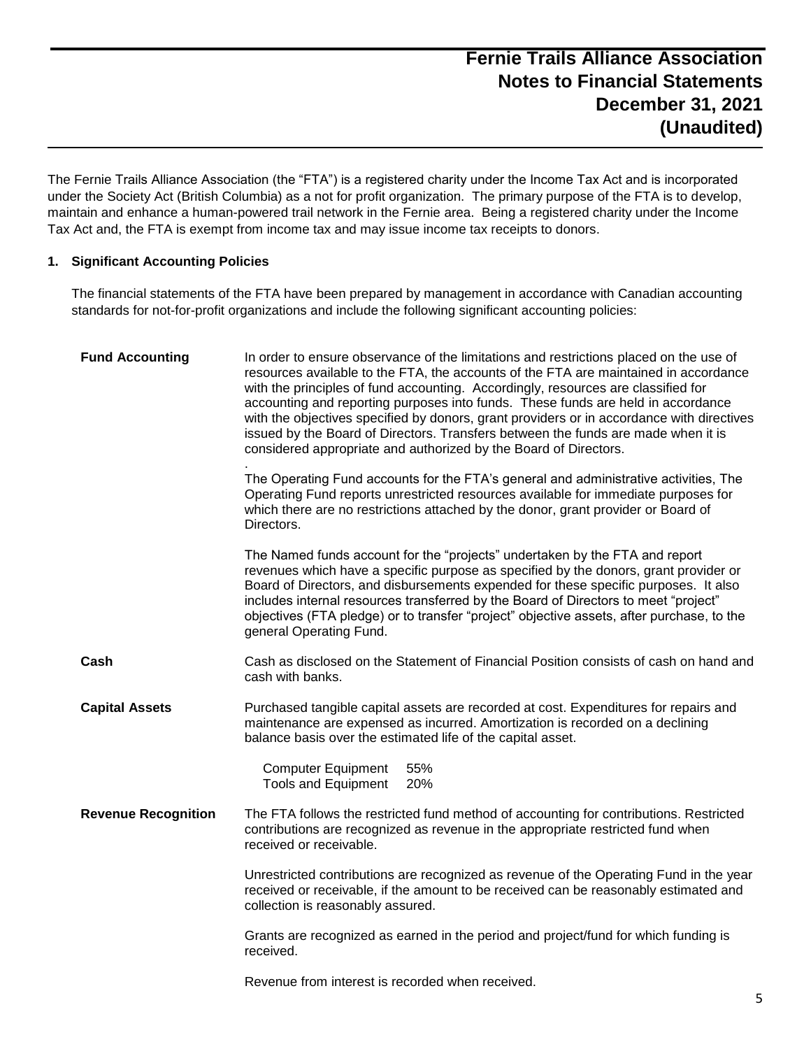The Fernie Trails Alliance Association (the "FTA") is a registered charity under the Income Tax Act and is incorporated under the Society Act (British Columbia) as a not for profit organization. The primary purpose of the FTA is to develop, maintain and enhance a human-powered trail network in the Fernie area. Being a registered charity under the Income Tax Act and, the FTA is exempt from income tax and may issue income tax receipts to donors.

### **1. Significant Accounting Policies**

The financial statements of the FTA have been prepared by management in accordance with Canadian accounting standards for not-for-profit organizations and include the following significant accounting policies:

| <b>Fund Accounting</b>     | In order to ensure observance of the limitations and restrictions placed on the use of<br>resources available to the FTA, the accounts of the FTA are maintained in accordance<br>with the principles of fund accounting. Accordingly, resources are classified for<br>accounting and reporting purposes into funds. These funds are held in accordance<br>with the objectives specified by donors, grant providers or in accordance with directives<br>issued by the Board of Directors. Transfers between the funds are made when it is<br>considered appropriate and authorized by the Board of Directors. |
|----------------------------|---------------------------------------------------------------------------------------------------------------------------------------------------------------------------------------------------------------------------------------------------------------------------------------------------------------------------------------------------------------------------------------------------------------------------------------------------------------------------------------------------------------------------------------------------------------------------------------------------------------|
|                            | The Operating Fund accounts for the FTA's general and administrative activities, The<br>Operating Fund reports unrestricted resources available for immediate purposes for<br>which there are no restrictions attached by the donor, grant provider or Board of<br>Directors.                                                                                                                                                                                                                                                                                                                                 |
|                            | The Named funds account for the "projects" undertaken by the FTA and report<br>revenues which have a specific purpose as specified by the donors, grant provider or<br>Board of Directors, and disbursements expended for these specific purposes. It also<br>includes internal resources transferred by the Board of Directors to meet "project"<br>objectives (FTA pledge) or to transfer "project" objective assets, after purchase, to the<br>general Operating Fund.                                                                                                                                     |
| Cash                       | Cash as disclosed on the Statement of Financial Position consists of cash on hand and<br>cash with banks.                                                                                                                                                                                                                                                                                                                                                                                                                                                                                                     |
| <b>Capital Assets</b>      | Purchased tangible capital assets are recorded at cost. Expenditures for repairs and<br>maintenance are expensed as incurred. Amortization is recorded on a declining<br>balance basis over the estimated life of the capital asset.                                                                                                                                                                                                                                                                                                                                                                          |
|                            | <b>Computer Equipment</b><br>55%<br><b>Tools and Equipment</b><br>20%                                                                                                                                                                                                                                                                                                                                                                                                                                                                                                                                         |
| <b>Revenue Recognition</b> | The FTA follows the restricted fund method of accounting for contributions. Restricted<br>contributions are recognized as revenue in the appropriate restricted fund when<br>received or receivable.                                                                                                                                                                                                                                                                                                                                                                                                          |
|                            | Unrestricted contributions are recognized as revenue of the Operating Fund in the year<br>received or receivable, if the amount to be received can be reasonably estimated and<br>collection is reasonably assured.                                                                                                                                                                                                                                                                                                                                                                                           |
|                            | Grants are recognized as earned in the period and project/fund for which funding is<br>received.                                                                                                                                                                                                                                                                                                                                                                                                                                                                                                              |
|                            | Revenue from interest is recorded when received.                                                                                                                                                                                                                                                                                                                                                                                                                                                                                                                                                              |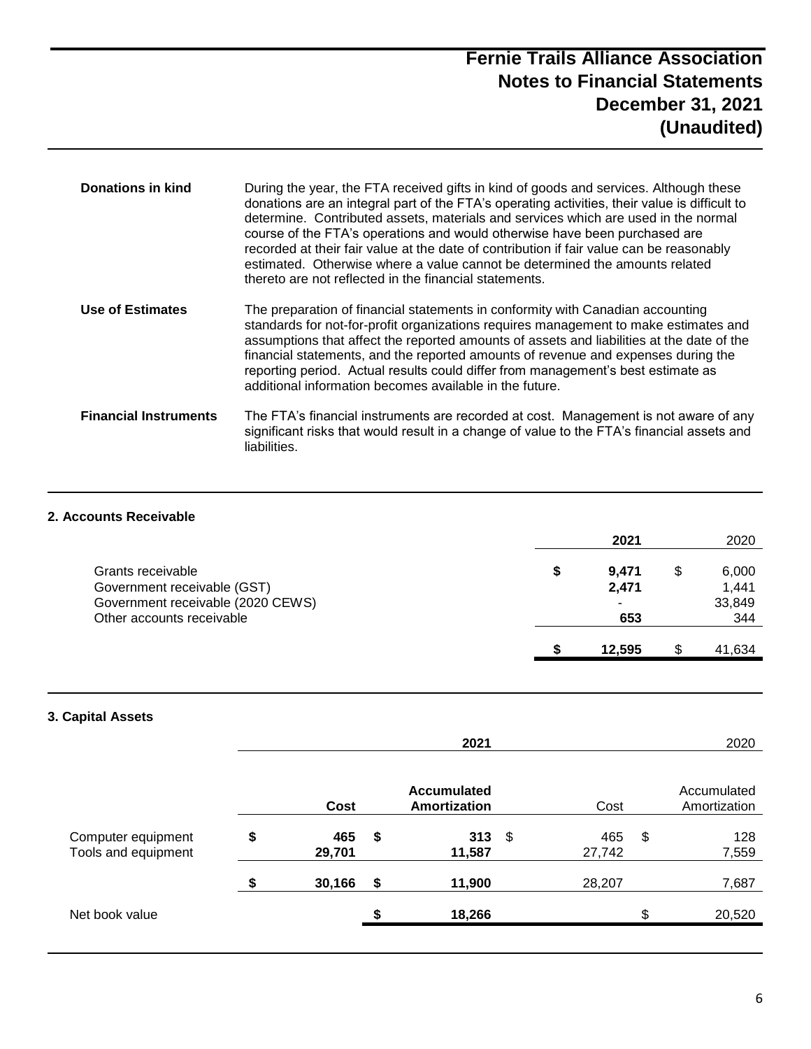# **Fernie Trails Alliance Association Notes to Financial Statements December 31, 2021 (Unaudited)**

| <b>Donations in kind</b>     | During the year, the FTA received gifts in kind of goods and services. Although these<br>donations are an integral part of the FTA's operating activities, their value is difficult to<br>determine. Contributed assets, materials and services which are used in the normal<br>course of the FTA's operations and would otherwise have been purchased are<br>recorded at their fair value at the date of contribution if fair value can be reasonably<br>estimated. Otherwise where a value cannot be determined the amounts related<br>thereto are not reflected in the financial statements. |
|------------------------------|-------------------------------------------------------------------------------------------------------------------------------------------------------------------------------------------------------------------------------------------------------------------------------------------------------------------------------------------------------------------------------------------------------------------------------------------------------------------------------------------------------------------------------------------------------------------------------------------------|
| Use of Estimates             | The preparation of financial statements in conformity with Canadian accounting<br>standards for not-for-profit organizations requires management to make estimates and<br>assumptions that affect the reported amounts of assets and liabilities at the date of the<br>financial statements, and the reported amounts of revenue and expenses during the<br>reporting period. Actual results could differ from management's best estimate as<br>additional information becomes available in the future.                                                                                         |
| <b>Financial Instruments</b> | The FTA's financial instruments are recorded at cost. Management is not aware of any<br>significant risks that would result in a change of value to the FTA's financial assets and<br>liabilities.                                                                                                                                                                                                                                                                                                                                                                                              |

### **2. Accounts Receivable**

|                                   |    | 2021   | 2020   |
|-----------------------------------|----|--------|--------|
| Grants receivable                 | \$ | 9,471  | 6,000  |
| Government receivable (GST)       |    | 2,471  | 1,441  |
| Government receivable (2020 CEWS) |    |        | 33,849 |
| Other accounts receivable         |    | 653    | 344    |
|                                   | S  | 12.595 | 41,634 |

### **3. Capital Assets**

|                                           |                     | 2020                               |     |               |                             |
|-------------------------------------------|---------------------|------------------------------------|-----|---------------|-----------------------------|
|                                           | Cost                | <b>Accumulated</b><br>Amortization |     | Cost          | Accumulated<br>Amortization |
| Computer equipment<br>Tools and equipment | \$<br>465<br>29,701 | \$<br>313<br>11,587                | -\$ | 465<br>27,742 | \$<br>128<br>7,559          |
|                                           | \$<br>30,166        | \$<br>11,900                       |     | 28,207        | 7,687                       |
| Net book value                            |                     | \$<br>18,266                       |     |               | \$<br>20,520                |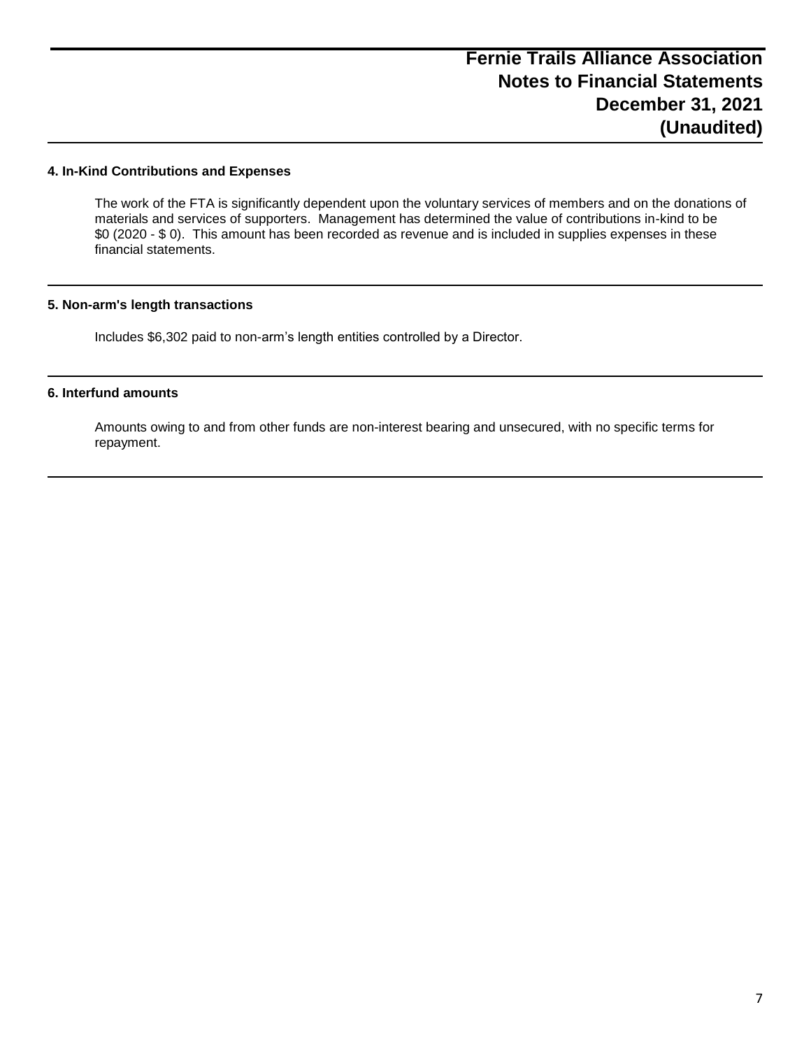#### **4. In-Kind Contributions and Expenses**

The work of the FTA is significantly dependent upon the voluntary services of members and on the donations of materials and services of supporters. Management has determined the value of contributions in-kind to be \$0 (2020 - \$ 0). This amount has been recorded as revenue and is included in supplies expenses in these financial statements.

### **5. Non-arm's length transactions**

Includes \$6,302 paid to non-arm's length entities controlled by a Director.

#### **6. Interfund amounts**

Amounts owing to and from other funds are non-interest bearing and unsecured, with no specific terms for repayment.